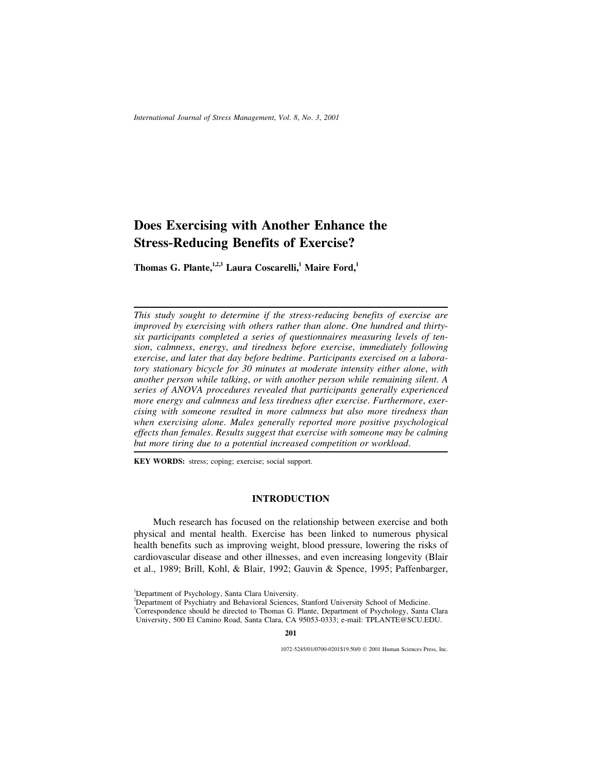*International Journal of Stress Management*, *Vol*. *8*, *No*. *3*, *2001*

# **Does Exercising with Another Enhance the Stress-Reducing Benefits of Exercise?**

**Thomas G. Plante,1,2,3 Laura Coscarelli,<sup>1</sup> Maire Ford,<sup>1</sup>**

*This study sought to determine if the stress*-*reducing benefits of exercise are improved by exercising with others rather than alone*. *One hundred and thirtysix participants completed a series of questionnaires measuring levels of tension*, *calmness*, *energy*, *and tiredness before exercise*, *immediately following exercise*, *and later that day before bedtime*. *Participants exercised on a laboratory stationary bicycle for 30 minutes at moderate intensity either alone*, *with another person while talking*, *or with another person while remaining silent*. *A series of ANOVA procedures revealed that participants generally experienced more energy and calmness and less tiredness after exercise*. *Furthermore*, *exercising with someone resulted in more calmness but also more tiredness than when exercising alone*. *Males generally reported more positive psychological effects than females*. *Results suggest that exercise with someone may be calming but more tiring due to a potential increased competition or workload*.

**KEY WORDS:** stress; coping; exercise; social support.

### **INTRODUCTION**

Much research has focused on the relationship between exercise and both physical and mental health. Exercise has been linked to numerous physical health benefits such as improving weight, blood pressure, lowering the risks of cardiovascular disease and other illnesses, and even increasing longevity (Blair et al., 1989; Brill, Kohl, & Blair, 1992; Gauvin & Spence, 1995; Paffenbarger,

**201**

1072-5245/01/0700-0201\$19.50/0 2001 Human Sciences Press, Inc.

<sup>&</sup>lt;sup>1</sup>Department of Psychology, Santa Clara University.

<sup>&</sup>lt;sup>2</sup>Department of Psychiatry and Behavioral Sciences, Stanford University School of Medicine. <sup>3</sup>Correspondence should be directed to Thomas G. Plante, Department of Psychology, Santa Clara University, 500 El Camino Road, Santa Clara, CA 95053-0333; e-mail: TPLANTE@SCU.EDU.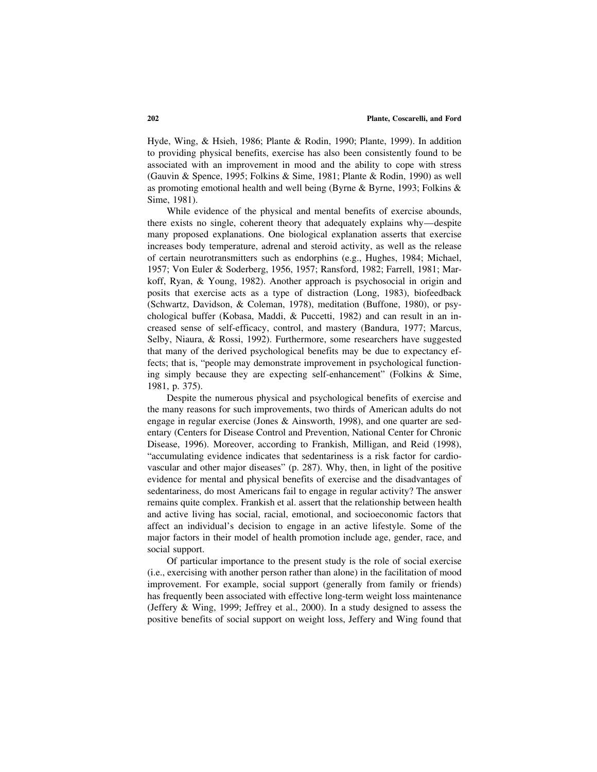Hyde, Wing, & Hsieh, 1986; Plante & Rodin, 1990; Plante, 1999). In addition to providing physical benefits, exercise has also been consistently found to be associated with an improvement in mood and the ability to cope with stress (Gauvin & Spence, 1995; Folkins & Sime, 1981; Plante & Rodin, 1990) as well as promoting emotional health and well being (Byrne & Byrne, 1993; Folkins & Sime, 1981).

While evidence of the physical and mental benefits of exercise abounds, there exists no single, coherent theory that adequately explains why—despite many proposed explanations. One biological explanation asserts that exercise increases body temperature, adrenal and steroid activity, as well as the release of certain neurotransmitters such as endorphins (e.g., Hughes, 1984; Michael, 1957; Von Euler & Soderberg, 1956, 1957; Ransford, 1982; Farrell, 1981; Markoff, Ryan, & Young, 1982). Another approach is psychosocial in origin and posits that exercise acts as a type of distraction (Long, 1983), biofeedback (Schwartz, Davidson, & Coleman, 1978), meditation (Buffone, 1980), or psychological buffer (Kobasa, Maddi, & Puccetti, 1982) and can result in an increased sense of self-efficacy, control, and mastery (Bandura, 1977; Marcus, Selby, Niaura, & Rossi, 1992). Furthermore, some researchers have suggested that many of the derived psychological benefits may be due to expectancy effects; that is, "people may demonstrate improvement in psychological functioning simply because they are expecting self-enhancement" (Folkins & Sime, 1981, p. 375).

Despite the numerous physical and psychological benefits of exercise and the many reasons for such improvements, two thirds of American adults do not engage in regular exercise (Jones & Ainsworth, 1998), and one quarter are sedentary (Centers for Disease Control and Prevention, National Center for Chronic Disease, 1996). Moreover, according to Frankish, Milligan, and Reid (1998), "accumulating evidence indicates that sedentariness is a risk factor for cardiovascular and other major diseases" (p. 287). Why, then, in light of the positive evidence for mental and physical benefits of exercise and the disadvantages of sedentariness, do most Americans fail to engage in regular activity? The answer remains quite complex. Frankish et al. assert that the relationship between health and active living has social, racial, emotional, and socioeconomic factors that affect an individual's decision to engage in an active lifestyle. Some of the major factors in their model of health promotion include age, gender, race, and social support.

Of particular importance to the present study is the role of social exercise (i.e., exercising with another person rather than alone) in the facilitation of mood improvement. For example, social support (generally from family or friends) has frequently been associated with effective long-term weight loss maintenance (Jeffery & Wing, 1999; Jeffrey et al., 2000). In a study designed to assess the positive benefits of social support on weight loss, Jeffery and Wing found that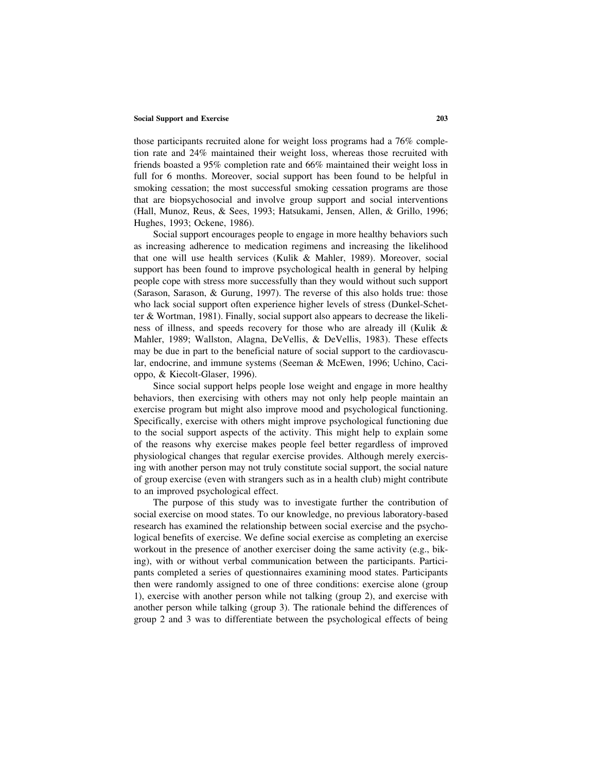those participants recruited alone for weight loss programs had a 76% completion rate and 24% maintained their weight loss, whereas those recruited with friends boasted a 95% completion rate and 66% maintained their weight loss in full for 6 months. Moreover, social support has been found to be helpful in smoking cessation; the most successful smoking cessation programs are those that are biopsychosocial and involve group support and social interventions (Hall, Munoz, Reus, & Sees, 1993; Hatsukami, Jensen, Allen, & Grillo, 1996; Hughes, 1993; Ockene, 1986).

Social support encourages people to engage in more healthy behaviors such as increasing adherence to medication regimens and increasing the likelihood that one will use health services (Kulik & Mahler, 1989). Moreover, social support has been found to improve psychological health in general by helping people cope with stress more successfully than they would without such support (Sarason, Sarason, & Gurung, 1997). The reverse of this also holds true: those who lack social support often experience higher levels of stress (Dunkel-Schetter & Wortman, 1981). Finally, social support also appears to decrease the likeliness of illness, and speeds recovery for those who are already ill (Kulik & Mahler, 1989; Wallston, Alagna, DeVellis, & DeVellis, 1983). These effects may be due in part to the beneficial nature of social support to the cardiovascular, endocrine, and immune systems (Seeman & McEwen, 1996; Uchino, Cacioppo, & Kiecolt-Glaser, 1996).

Since social support helps people lose weight and engage in more healthy behaviors, then exercising with others may not only help people maintain an exercise program but might also improve mood and psychological functioning. Specifically, exercise with others might improve psychological functioning due to the social support aspects of the activity. This might help to explain some of the reasons why exercise makes people feel better regardless of improved physiological changes that regular exercise provides. Although merely exercising with another person may not truly constitute social support, the social nature of group exercise (even with strangers such as in a health club) might contribute to an improved psychological effect.

The purpose of this study was to investigate further the contribution of social exercise on mood states. To our knowledge, no previous laboratory-based research has examined the relationship between social exercise and the psychological benefits of exercise. We define social exercise as completing an exercise workout in the presence of another exerciser doing the same activity (e.g., biking), with or without verbal communication between the participants. Participants completed a series of questionnaires examining mood states. Participants then were randomly assigned to one of three conditions: exercise alone (group 1), exercise with another person while not talking (group 2), and exercise with another person while talking (group 3). The rationale behind the differences of group 2 and 3 was to differentiate between the psychological effects of being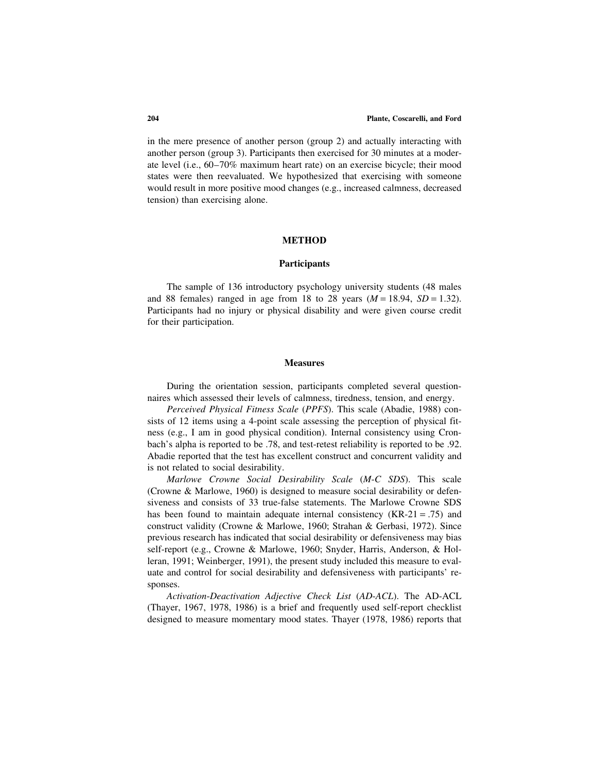in the mere presence of another person (group 2) and actually interacting with another person (group 3). Participants then exercised for 30 minutes at a moderate level (i.e., 60–70% maximum heart rate) on an exercise bicycle; their mood states were then reevaluated. We hypothesized that exercising with someone would result in more positive mood changes (e.g., increased calmness, decreased tension) than exercising alone.

# **METHOD**

### **Participants**

The sample of 136 introductory psychology university students (48 males and 88 females) ranged in age from 18 to 28 years  $(M = 18.94, SD = 1.32)$ . Participants had no injury or physical disability and were given course credit for their participation.

### **Measures**

During the orientation session, participants completed several questionnaires which assessed their levels of calmness, tiredness, tension, and energy.

*Perceived Physical Fitness Scale* (*PPFS*). This scale (Abadie, 1988) consists of 12 items using a 4-point scale assessing the perception of physical fitness (e.g., I am in good physical condition). Internal consistency using Cronbach's alpha is reported to be .78, and test-retest reliability is reported to be .92. Abadie reported that the test has excellent construct and concurrent validity and is not related to social desirability.

*Marlowe Crowne Social Desirability Scale* (*M*-*C SDS*). This scale (Crowne & Marlowe, 1960) is designed to measure social desirability or defensiveness and consists of 33 true-false statements. The Marlowe Crowne SDS has been found to maintain adequate internal consistency  $(KR-21 = .75)$  and construct validity (Crowne & Marlowe, 1960; Strahan & Gerbasi, 1972). Since previous research has indicated that social desirability or defensiveness may bias self-report (e.g., Crowne & Marlowe, 1960; Snyder, Harris, Anderson, & Holleran, 1991; Weinberger, 1991), the present study included this measure to evaluate and control for social desirability and defensiveness with participants' responses.

*Activation*-*Deactivation Adjective Check List* (*AD*-*ACL*). The AD-ACL (Thayer, 1967, 1978, 1986) is a brief and frequently used self-report checklist designed to measure momentary mood states. Thayer (1978, 1986) reports that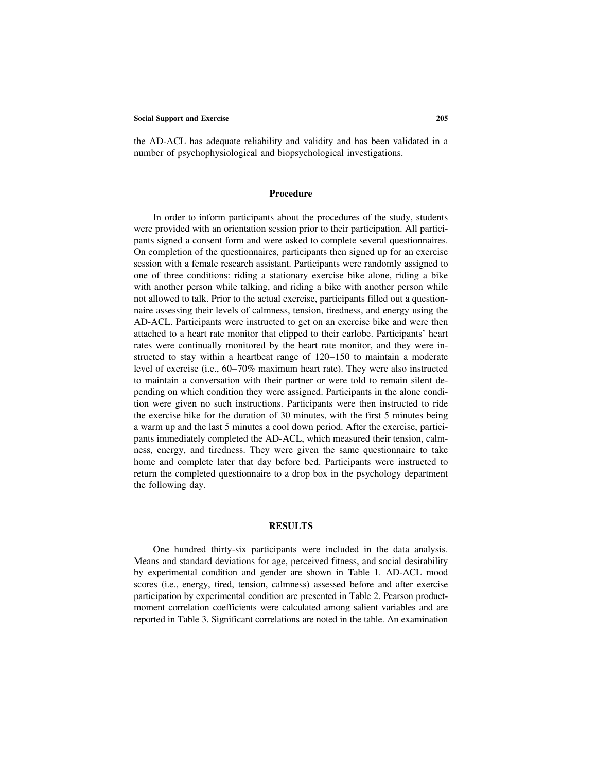the AD-ACL has adequate reliability and validity and has been validated in a number of psychophysiological and biopsychological investigations.

# **Procedure**

In order to inform participants about the procedures of the study, students were provided with an orientation session prior to their participation. All participants signed a consent form and were asked to complete several questionnaires. On completion of the questionnaires, participants then signed up for an exercise session with a female research assistant. Participants were randomly assigned to one of three conditions: riding a stationary exercise bike alone, riding a bike with another person while talking, and riding a bike with another person while not allowed to talk. Prior to the actual exercise, participants filled out a questionnaire assessing their levels of calmness, tension, tiredness, and energy using the AD-ACL. Participants were instructed to get on an exercise bike and were then attached to a heart rate monitor that clipped to their earlobe. Participants' heart rates were continually monitored by the heart rate monitor, and they were instructed to stay within a heartbeat range of 120–150 to maintain a moderate level of exercise (i.e., 60–70% maximum heart rate). They were also instructed to maintain a conversation with their partner or were told to remain silent depending on which condition they were assigned. Participants in the alone condition were given no such instructions. Participants were then instructed to ride the exercise bike for the duration of 30 minutes, with the first 5 minutes being a warm up and the last 5 minutes a cool down period. After the exercise, participants immediately completed the AD-ACL, which measured their tension, calmness, energy, and tiredness. They were given the same questionnaire to take home and complete later that day before bed. Participants were instructed to return the completed questionnaire to a drop box in the psychology department the following day.

# **RESULTS**

One hundred thirty-six participants were included in the data analysis. Means and standard deviations for age, perceived fitness, and social desirability by experimental condition and gender are shown in Table 1. AD-ACL mood scores (i.e., energy, tired, tension, calmness) assessed before and after exercise participation by experimental condition are presented in Table 2. Pearson productmoment correlation coefficients were calculated among salient variables and are reported in Table 3. Significant correlations are noted in the table. An examination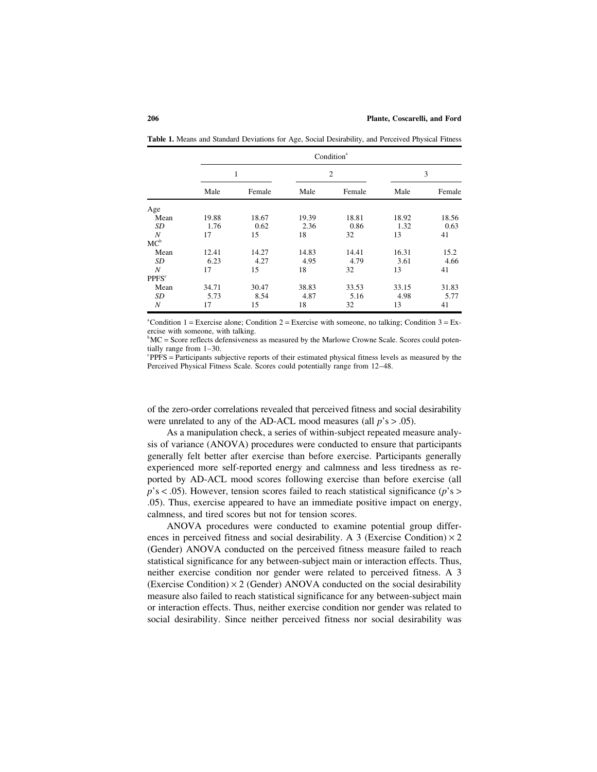|                          |       |        |       | Condition <sup>a</sup> |       |        |
|--------------------------|-------|--------|-------|------------------------|-------|--------|
|                          |       | 1      |       | $\overline{2}$         |       | 3      |
|                          | Male  | Female | Male  | Female                 | Male  | Female |
| Age                      |       |        |       |                        |       |        |
| Mean                     | 19.88 | 18.67  | 19.39 | 18.81                  | 18.92 | 18.56  |
| SD                       | 1.76  | 0.62   | 2.36  | 0.86                   | 1.32  | 0.63   |
| $\overline{N}$           | 17    | 15     | 18    | 32                     | 13    | 41     |
| $MC^b$                   |       |        |       |                        |       |        |
| Mean                     | 12.41 | 14.27  | 14.83 | 14.41                  | 16.31 | 15.2   |
| SD                       | 6.23  | 4.27   | 4.95  | 4.79                   | 3.61  | 4.66   |
| $\boldsymbol{N}$         | 17    | 15     | 18    | 32                     | 13    | 41     |
| <b>PPFS</b> <sup>c</sup> |       |        |       |                        |       |        |
| Mean                     | 34.71 | 30.47  | 38.83 | 33.53                  | 33.15 | 31.83  |
| SD                       | 5.73  | 8.54   | 4.87  | 5.16                   | 4.98  | 5.77   |
| N                        | 17    | 15     | 18    | 32                     | 13    | 41     |

**Table 1.** Means and Standard Deviations for Age, Social Desirability, and Perceived Physical Fitness

<sup>a</sup>Condition 1 = Exercise alone; Condition 2 = Exercise with someone, no talking; Condition 3 = Exercise with someone, with talking.

 $b<sup>b</sup>MC =$  Score reflects defensiveness as measured by the Marlowe Crowne Scale. Scores could potentially range from 1–30.

 $c<sup>c</sup>$  PPFS = Participants subjective reports of their estimated physical fitness levels as measured by the Perceived Physical Fitness Scale. Scores could potentially range from 12–48.

of the zero-order correlations revealed that perceived fitness and social desirability were unrelated to any of the AD-ACL mood measures (all *p*'s > .05).

As a manipulation check, a series of within-subject repeated measure analysis of variance (ANOVA) procedures were conducted to ensure that participants generally felt better after exercise than before exercise. Participants generally experienced more self-reported energy and calmness and less tiredness as reported by AD-ACL mood scores following exercise than before exercise (all *p*'s < .05). However, tension scores failed to reach statistical significance (*p*'s > .05). Thus, exercise appeared to have an immediate positive impact on energy, calmness, and tired scores but not for tension scores.

ANOVA procedures were conducted to examine potential group differences in perceived fitness and social desirability. A 3 (Exercise Condition)  $\times$  2 (Gender) ANOVA conducted on the perceived fitness measure failed to reach statistical significance for any between-subject main or interaction effects. Thus, neither exercise condition nor gender were related to perceived fitness. A 3 (Exercise Condition)  $\times$  2 (Gender) ANOVA conducted on the social desirability measure also failed to reach statistical significance for any between-subject main or interaction effects. Thus, neither exercise condition nor gender was related to social desirability. Since neither perceived fitness nor social desirability was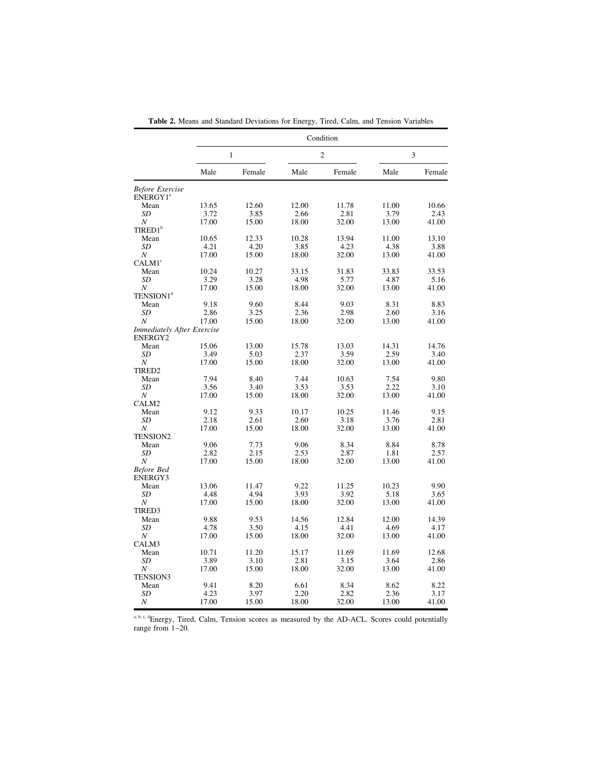| $\mathbf{1}$<br>$\overline{2}$<br>3<br>Male<br>Male<br>Male<br>Female<br>Female<br>Female<br>ENERGY1 <sup>ª</sup><br>Mean<br>13.65<br>12.60<br>12.00<br>11.78<br>11.00<br>10.66<br>SD<br>3.72<br>3.85<br>2.66<br>2.81<br>3.79<br>2.43<br>17.00<br>15.00<br>Ν<br>18.00<br>32.00<br>13.00<br>41.00<br>TIRED1 <sup>b</sup><br>12.33<br>13.94<br>Mean<br>10.65<br>10.28<br>11.00<br>13.10<br>SD<br>4.21<br>4.20<br>3.85<br>4.23<br>4.38<br>3.88<br>N<br>17.00<br>15.00<br>18.00<br>32.00<br>13.00<br>41.00<br>CALM1 <sup>c</sup><br>Mean<br>10.24<br>10.27<br>33.15<br>31.83<br>33.83<br>33.53<br><b>SD</b><br>3.29<br>3.28<br>4.98<br>5.77<br>4.87<br>5.16<br>$\boldsymbol{N}$<br>17.00<br>15.00<br>18.00<br>32.00<br>13.00<br>41.00<br>TENSION1 <sup>d</sup><br>9.60<br>8.44<br>9.03<br>Mean<br>9.18<br>8.31<br>8.83<br>SD<br>2.86<br>3.25<br>2.36<br>2.98<br>2.60<br>3.16<br>$\boldsymbol{N}$<br>17.00<br>15.00<br>18.00<br>32.00<br>13.00<br>41.00<br><b>Immediately After Exercise</b><br>15.06<br>13.03<br>14.31<br>Mean<br>13.00<br>15.78<br>14.76<br>SD<br>3.49<br>2.37<br>3.59<br>2.59<br>3.40<br>5.03<br>$\boldsymbol{N}$<br>17.00<br>15.00<br>18.00<br>32.00<br>13.00<br>41.00<br>TIRED <sub>2</sub><br>Mean<br>7.94<br>8.40<br>7.44<br>10.63<br>7.54<br>9.80<br>SD<br>3.56<br>3.40<br>3.53<br>2.22<br>3.53<br>3.10<br>$\boldsymbol{N}$<br>17.00<br>15.00<br>18.00<br>32.00<br>13.00<br>41.00<br>CALM2<br>Mean<br>9.12<br>9.33<br>10.17<br>10.25<br>11.46<br>9.15<br>SD<br>2.18<br>2.60<br>3.18<br>3.76<br>2.81<br>2.61<br>N<br>17.00<br>15.00<br>18.00<br>32.00<br>13.00<br>41.00<br><b>TENSION2</b><br>9.06<br>9.06<br>Mean<br>7.73<br>8.34<br>8.84<br>8.78<br><b>SD</b><br>2.82<br>2.15<br>2.53<br>2.87<br>1.81<br>2.57<br>$\boldsymbol{N}$<br>17.00<br>15.00<br>18.00<br>32.00<br>13.00<br>41.00<br><b>Before Bed</b><br><b>ENERGY3</b><br>13.06<br>9.90<br>Mean<br>11.47<br>9.22<br>11.25<br>10.23<br><b>SD</b><br>4.94<br>3.93<br>3.92<br>5.18<br>4.48<br>3.65<br>$\boldsymbol{N}$<br>18.00<br>17.00<br>15.00<br>32.00<br>13.00<br>41.00<br>TIRED3<br>Mean<br>9.88<br>9.53<br>14.56<br>12.84<br>12.00<br>14.39<br>SD<br>4.78<br>3.50<br>4.15<br>4.41<br>4.69<br>4.17<br>$\boldsymbol{N}$<br>17.00<br>15.00<br>18.00<br>32.00<br>13.00<br>41.00<br>CALM3<br>Mean<br>10.71<br>11.20<br>15.17<br>11.69<br>12.68<br>11.69<br>SD<br>3.89<br>3.10<br>2.81<br>3.15<br>3.64<br>2.86<br>N<br>15.00<br>18.00<br>17.00<br>32.00<br>13.00<br>41.00<br>9.41<br>8.20<br>6.61<br>8.34<br>8.62<br>Mean<br>8.22<br>SD<br>4.23<br>3.97<br>2.20<br>2.82<br>2.36<br>3.17<br>15.00<br>Ν<br>17.00<br>18.00<br>32.00<br>13.00<br>41.00 |                        |  | Condition |  |
|------------------------------------------------------------------------------------------------------------------------------------------------------------------------------------------------------------------------------------------------------------------------------------------------------------------------------------------------------------------------------------------------------------------------------------------------------------------------------------------------------------------------------------------------------------------------------------------------------------------------------------------------------------------------------------------------------------------------------------------------------------------------------------------------------------------------------------------------------------------------------------------------------------------------------------------------------------------------------------------------------------------------------------------------------------------------------------------------------------------------------------------------------------------------------------------------------------------------------------------------------------------------------------------------------------------------------------------------------------------------------------------------------------------------------------------------------------------------------------------------------------------------------------------------------------------------------------------------------------------------------------------------------------------------------------------------------------------------------------------------------------------------------------------------------------------------------------------------------------------------------------------------------------------------------------------------------------------------------------------------------------------------------------------------------------------------------------------------------------------------------------------------------------------------------------------------------------------------------------------------------------------------------------------------------------------------------------------------------------------------------------------------------------------------------------------------------------------------------------------------------------------------------------------------------------------------------------------------------------------------------|------------------------|--|-----------|--|
|                                                                                                                                                                                                                                                                                                                                                                                                                                                                                                                                                                                                                                                                                                                                                                                                                                                                                                                                                                                                                                                                                                                                                                                                                                                                                                                                                                                                                                                                                                                                                                                                                                                                                                                                                                                                                                                                                                                                                                                                                                                                                                                                                                                                                                                                                                                                                                                                                                                                                                                                                                                                                              |                        |  |           |  |
|                                                                                                                                                                                                                                                                                                                                                                                                                                                                                                                                                                                                                                                                                                                                                                                                                                                                                                                                                                                                                                                                                                                                                                                                                                                                                                                                                                                                                                                                                                                                                                                                                                                                                                                                                                                                                                                                                                                                                                                                                                                                                                                                                                                                                                                                                                                                                                                                                                                                                                                                                                                                                              |                        |  |           |  |
|                                                                                                                                                                                                                                                                                                                                                                                                                                                                                                                                                                                                                                                                                                                                                                                                                                                                                                                                                                                                                                                                                                                                                                                                                                                                                                                                                                                                                                                                                                                                                                                                                                                                                                                                                                                                                                                                                                                                                                                                                                                                                                                                                                                                                                                                                                                                                                                                                                                                                                                                                                                                                              | <b>Before Exercise</b> |  |           |  |
|                                                                                                                                                                                                                                                                                                                                                                                                                                                                                                                                                                                                                                                                                                                                                                                                                                                                                                                                                                                                                                                                                                                                                                                                                                                                                                                                                                                                                                                                                                                                                                                                                                                                                                                                                                                                                                                                                                                                                                                                                                                                                                                                                                                                                                                                                                                                                                                                                                                                                                                                                                                                                              |                        |  |           |  |
|                                                                                                                                                                                                                                                                                                                                                                                                                                                                                                                                                                                                                                                                                                                                                                                                                                                                                                                                                                                                                                                                                                                                                                                                                                                                                                                                                                                                                                                                                                                                                                                                                                                                                                                                                                                                                                                                                                                                                                                                                                                                                                                                                                                                                                                                                                                                                                                                                                                                                                                                                                                                                              |                        |  |           |  |
|                                                                                                                                                                                                                                                                                                                                                                                                                                                                                                                                                                                                                                                                                                                                                                                                                                                                                                                                                                                                                                                                                                                                                                                                                                                                                                                                                                                                                                                                                                                                                                                                                                                                                                                                                                                                                                                                                                                                                                                                                                                                                                                                                                                                                                                                                                                                                                                                                                                                                                                                                                                                                              |                        |  |           |  |
|                                                                                                                                                                                                                                                                                                                                                                                                                                                                                                                                                                                                                                                                                                                                                                                                                                                                                                                                                                                                                                                                                                                                                                                                                                                                                                                                                                                                                                                                                                                                                                                                                                                                                                                                                                                                                                                                                                                                                                                                                                                                                                                                                                                                                                                                                                                                                                                                                                                                                                                                                                                                                              |                        |  |           |  |
|                                                                                                                                                                                                                                                                                                                                                                                                                                                                                                                                                                                                                                                                                                                                                                                                                                                                                                                                                                                                                                                                                                                                                                                                                                                                                                                                                                                                                                                                                                                                                                                                                                                                                                                                                                                                                                                                                                                                                                                                                                                                                                                                                                                                                                                                                                                                                                                                                                                                                                                                                                                                                              |                        |  |           |  |
|                                                                                                                                                                                                                                                                                                                                                                                                                                                                                                                                                                                                                                                                                                                                                                                                                                                                                                                                                                                                                                                                                                                                                                                                                                                                                                                                                                                                                                                                                                                                                                                                                                                                                                                                                                                                                                                                                                                                                                                                                                                                                                                                                                                                                                                                                                                                                                                                                                                                                                                                                                                                                              |                        |  |           |  |
|                                                                                                                                                                                                                                                                                                                                                                                                                                                                                                                                                                                                                                                                                                                                                                                                                                                                                                                                                                                                                                                                                                                                                                                                                                                                                                                                                                                                                                                                                                                                                                                                                                                                                                                                                                                                                                                                                                                                                                                                                                                                                                                                                                                                                                                                                                                                                                                                                                                                                                                                                                                                                              |                        |  |           |  |
|                                                                                                                                                                                                                                                                                                                                                                                                                                                                                                                                                                                                                                                                                                                                                                                                                                                                                                                                                                                                                                                                                                                                                                                                                                                                                                                                                                                                                                                                                                                                                                                                                                                                                                                                                                                                                                                                                                                                                                                                                                                                                                                                                                                                                                                                                                                                                                                                                                                                                                                                                                                                                              |                        |  |           |  |
|                                                                                                                                                                                                                                                                                                                                                                                                                                                                                                                                                                                                                                                                                                                                                                                                                                                                                                                                                                                                                                                                                                                                                                                                                                                                                                                                                                                                                                                                                                                                                                                                                                                                                                                                                                                                                                                                                                                                                                                                                                                                                                                                                                                                                                                                                                                                                                                                                                                                                                                                                                                                                              |                        |  |           |  |
|                                                                                                                                                                                                                                                                                                                                                                                                                                                                                                                                                                                                                                                                                                                                                                                                                                                                                                                                                                                                                                                                                                                                                                                                                                                                                                                                                                                                                                                                                                                                                                                                                                                                                                                                                                                                                                                                                                                                                                                                                                                                                                                                                                                                                                                                                                                                                                                                                                                                                                                                                                                                                              |                        |  |           |  |
|                                                                                                                                                                                                                                                                                                                                                                                                                                                                                                                                                                                                                                                                                                                                                                                                                                                                                                                                                                                                                                                                                                                                                                                                                                                                                                                                                                                                                                                                                                                                                                                                                                                                                                                                                                                                                                                                                                                                                                                                                                                                                                                                                                                                                                                                                                                                                                                                                                                                                                                                                                                                                              |                        |  |           |  |
|                                                                                                                                                                                                                                                                                                                                                                                                                                                                                                                                                                                                                                                                                                                                                                                                                                                                                                                                                                                                                                                                                                                                                                                                                                                                                                                                                                                                                                                                                                                                                                                                                                                                                                                                                                                                                                                                                                                                                                                                                                                                                                                                                                                                                                                                                                                                                                                                                                                                                                                                                                                                                              |                        |  |           |  |
|                                                                                                                                                                                                                                                                                                                                                                                                                                                                                                                                                                                                                                                                                                                                                                                                                                                                                                                                                                                                                                                                                                                                                                                                                                                                                                                                                                                                                                                                                                                                                                                                                                                                                                                                                                                                                                                                                                                                                                                                                                                                                                                                                                                                                                                                                                                                                                                                                                                                                                                                                                                                                              |                        |  |           |  |
|                                                                                                                                                                                                                                                                                                                                                                                                                                                                                                                                                                                                                                                                                                                                                                                                                                                                                                                                                                                                                                                                                                                                                                                                                                                                                                                                                                                                                                                                                                                                                                                                                                                                                                                                                                                                                                                                                                                                                                                                                                                                                                                                                                                                                                                                                                                                                                                                                                                                                                                                                                                                                              |                        |  |           |  |
|                                                                                                                                                                                                                                                                                                                                                                                                                                                                                                                                                                                                                                                                                                                                                                                                                                                                                                                                                                                                                                                                                                                                                                                                                                                                                                                                                                                                                                                                                                                                                                                                                                                                                                                                                                                                                                                                                                                                                                                                                                                                                                                                                                                                                                                                                                                                                                                                                                                                                                                                                                                                                              |                        |  |           |  |
|                                                                                                                                                                                                                                                                                                                                                                                                                                                                                                                                                                                                                                                                                                                                                                                                                                                                                                                                                                                                                                                                                                                                                                                                                                                                                                                                                                                                                                                                                                                                                                                                                                                                                                                                                                                                                                                                                                                                                                                                                                                                                                                                                                                                                                                                                                                                                                                                                                                                                                                                                                                                                              |                        |  |           |  |
|                                                                                                                                                                                                                                                                                                                                                                                                                                                                                                                                                                                                                                                                                                                                                                                                                                                                                                                                                                                                                                                                                                                                                                                                                                                                                                                                                                                                                                                                                                                                                                                                                                                                                                                                                                                                                                                                                                                                                                                                                                                                                                                                                                                                                                                                                                                                                                                                                                                                                                                                                                                                                              |                        |  |           |  |
|                                                                                                                                                                                                                                                                                                                                                                                                                                                                                                                                                                                                                                                                                                                                                                                                                                                                                                                                                                                                                                                                                                                                                                                                                                                                                                                                                                                                                                                                                                                                                                                                                                                                                                                                                                                                                                                                                                                                                                                                                                                                                                                                                                                                                                                                                                                                                                                                                                                                                                                                                                                                                              | <b>ENERGY2</b>         |  |           |  |
|                                                                                                                                                                                                                                                                                                                                                                                                                                                                                                                                                                                                                                                                                                                                                                                                                                                                                                                                                                                                                                                                                                                                                                                                                                                                                                                                                                                                                                                                                                                                                                                                                                                                                                                                                                                                                                                                                                                                                                                                                                                                                                                                                                                                                                                                                                                                                                                                                                                                                                                                                                                                                              |                        |  |           |  |
|                                                                                                                                                                                                                                                                                                                                                                                                                                                                                                                                                                                                                                                                                                                                                                                                                                                                                                                                                                                                                                                                                                                                                                                                                                                                                                                                                                                                                                                                                                                                                                                                                                                                                                                                                                                                                                                                                                                                                                                                                                                                                                                                                                                                                                                                                                                                                                                                                                                                                                                                                                                                                              |                        |  |           |  |
|                                                                                                                                                                                                                                                                                                                                                                                                                                                                                                                                                                                                                                                                                                                                                                                                                                                                                                                                                                                                                                                                                                                                                                                                                                                                                                                                                                                                                                                                                                                                                                                                                                                                                                                                                                                                                                                                                                                                                                                                                                                                                                                                                                                                                                                                                                                                                                                                                                                                                                                                                                                                                              |                        |  |           |  |
|                                                                                                                                                                                                                                                                                                                                                                                                                                                                                                                                                                                                                                                                                                                                                                                                                                                                                                                                                                                                                                                                                                                                                                                                                                                                                                                                                                                                                                                                                                                                                                                                                                                                                                                                                                                                                                                                                                                                                                                                                                                                                                                                                                                                                                                                                                                                                                                                                                                                                                                                                                                                                              |                        |  |           |  |
|                                                                                                                                                                                                                                                                                                                                                                                                                                                                                                                                                                                                                                                                                                                                                                                                                                                                                                                                                                                                                                                                                                                                                                                                                                                                                                                                                                                                                                                                                                                                                                                                                                                                                                                                                                                                                                                                                                                                                                                                                                                                                                                                                                                                                                                                                                                                                                                                                                                                                                                                                                                                                              |                        |  |           |  |
|                                                                                                                                                                                                                                                                                                                                                                                                                                                                                                                                                                                                                                                                                                                                                                                                                                                                                                                                                                                                                                                                                                                                                                                                                                                                                                                                                                                                                                                                                                                                                                                                                                                                                                                                                                                                                                                                                                                                                                                                                                                                                                                                                                                                                                                                                                                                                                                                                                                                                                                                                                                                                              |                        |  |           |  |
|                                                                                                                                                                                                                                                                                                                                                                                                                                                                                                                                                                                                                                                                                                                                                                                                                                                                                                                                                                                                                                                                                                                                                                                                                                                                                                                                                                                                                                                                                                                                                                                                                                                                                                                                                                                                                                                                                                                                                                                                                                                                                                                                                                                                                                                                                                                                                                                                                                                                                                                                                                                                                              |                        |  |           |  |
|                                                                                                                                                                                                                                                                                                                                                                                                                                                                                                                                                                                                                                                                                                                                                                                                                                                                                                                                                                                                                                                                                                                                                                                                                                                                                                                                                                                                                                                                                                                                                                                                                                                                                                                                                                                                                                                                                                                                                                                                                                                                                                                                                                                                                                                                                                                                                                                                                                                                                                                                                                                                                              |                        |  |           |  |
|                                                                                                                                                                                                                                                                                                                                                                                                                                                                                                                                                                                                                                                                                                                                                                                                                                                                                                                                                                                                                                                                                                                                                                                                                                                                                                                                                                                                                                                                                                                                                                                                                                                                                                                                                                                                                                                                                                                                                                                                                                                                                                                                                                                                                                                                                                                                                                                                                                                                                                                                                                                                                              |                        |  |           |  |
|                                                                                                                                                                                                                                                                                                                                                                                                                                                                                                                                                                                                                                                                                                                                                                                                                                                                                                                                                                                                                                                                                                                                                                                                                                                                                                                                                                                                                                                                                                                                                                                                                                                                                                                                                                                                                                                                                                                                                                                                                                                                                                                                                                                                                                                                                                                                                                                                                                                                                                                                                                                                                              |                        |  |           |  |
|                                                                                                                                                                                                                                                                                                                                                                                                                                                                                                                                                                                                                                                                                                                                                                                                                                                                                                                                                                                                                                                                                                                                                                                                                                                                                                                                                                                                                                                                                                                                                                                                                                                                                                                                                                                                                                                                                                                                                                                                                                                                                                                                                                                                                                                                                                                                                                                                                                                                                                                                                                                                                              |                        |  |           |  |
|                                                                                                                                                                                                                                                                                                                                                                                                                                                                                                                                                                                                                                                                                                                                                                                                                                                                                                                                                                                                                                                                                                                                                                                                                                                                                                                                                                                                                                                                                                                                                                                                                                                                                                                                                                                                                                                                                                                                                                                                                                                                                                                                                                                                                                                                                                                                                                                                                                                                                                                                                                                                                              |                        |  |           |  |
|                                                                                                                                                                                                                                                                                                                                                                                                                                                                                                                                                                                                                                                                                                                                                                                                                                                                                                                                                                                                                                                                                                                                                                                                                                                                                                                                                                                                                                                                                                                                                                                                                                                                                                                                                                                                                                                                                                                                                                                                                                                                                                                                                                                                                                                                                                                                                                                                                                                                                                                                                                                                                              |                        |  |           |  |
|                                                                                                                                                                                                                                                                                                                                                                                                                                                                                                                                                                                                                                                                                                                                                                                                                                                                                                                                                                                                                                                                                                                                                                                                                                                                                                                                                                                                                                                                                                                                                                                                                                                                                                                                                                                                                                                                                                                                                                                                                                                                                                                                                                                                                                                                                                                                                                                                                                                                                                                                                                                                                              |                        |  |           |  |
|                                                                                                                                                                                                                                                                                                                                                                                                                                                                                                                                                                                                                                                                                                                                                                                                                                                                                                                                                                                                                                                                                                                                                                                                                                                                                                                                                                                                                                                                                                                                                                                                                                                                                                                                                                                                                                                                                                                                                                                                                                                                                                                                                                                                                                                                                                                                                                                                                                                                                                                                                                                                                              |                        |  |           |  |
|                                                                                                                                                                                                                                                                                                                                                                                                                                                                                                                                                                                                                                                                                                                                                                                                                                                                                                                                                                                                                                                                                                                                                                                                                                                                                                                                                                                                                                                                                                                                                                                                                                                                                                                                                                                                                                                                                                                                                                                                                                                                                                                                                                                                                                                                                                                                                                                                                                                                                                                                                                                                                              |                        |  |           |  |
|                                                                                                                                                                                                                                                                                                                                                                                                                                                                                                                                                                                                                                                                                                                                                                                                                                                                                                                                                                                                                                                                                                                                                                                                                                                                                                                                                                                                                                                                                                                                                                                                                                                                                                                                                                                                                                                                                                                                                                                                                                                                                                                                                                                                                                                                                                                                                                                                                                                                                                                                                                                                                              |                        |  |           |  |
|                                                                                                                                                                                                                                                                                                                                                                                                                                                                                                                                                                                                                                                                                                                                                                                                                                                                                                                                                                                                                                                                                                                                                                                                                                                                                                                                                                                                                                                                                                                                                                                                                                                                                                                                                                                                                                                                                                                                                                                                                                                                                                                                                                                                                                                                                                                                                                                                                                                                                                                                                                                                                              |                        |  |           |  |
|                                                                                                                                                                                                                                                                                                                                                                                                                                                                                                                                                                                                                                                                                                                                                                                                                                                                                                                                                                                                                                                                                                                                                                                                                                                                                                                                                                                                                                                                                                                                                                                                                                                                                                                                                                                                                                                                                                                                                                                                                                                                                                                                                                                                                                                                                                                                                                                                                                                                                                                                                                                                                              |                        |  |           |  |
|                                                                                                                                                                                                                                                                                                                                                                                                                                                                                                                                                                                                                                                                                                                                                                                                                                                                                                                                                                                                                                                                                                                                                                                                                                                                                                                                                                                                                                                                                                                                                                                                                                                                                                                                                                                                                                                                                                                                                                                                                                                                                                                                                                                                                                                                                                                                                                                                                                                                                                                                                                                                                              |                        |  |           |  |
|                                                                                                                                                                                                                                                                                                                                                                                                                                                                                                                                                                                                                                                                                                                                                                                                                                                                                                                                                                                                                                                                                                                                                                                                                                                                                                                                                                                                                                                                                                                                                                                                                                                                                                                                                                                                                                                                                                                                                                                                                                                                                                                                                                                                                                                                                                                                                                                                                                                                                                                                                                                                                              |                        |  |           |  |
|                                                                                                                                                                                                                                                                                                                                                                                                                                                                                                                                                                                                                                                                                                                                                                                                                                                                                                                                                                                                                                                                                                                                                                                                                                                                                                                                                                                                                                                                                                                                                                                                                                                                                                                                                                                                                                                                                                                                                                                                                                                                                                                                                                                                                                                                                                                                                                                                                                                                                                                                                                                                                              |                        |  |           |  |
|                                                                                                                                                                                                                                                                                                                                                                                                                                                                                                                                                                                                                                                                                                                                                                                                                                                                                                                                                                                                                                                                                                                                                                                                                                                                                                                                                                                                                                                                                                                                                                                                                                                                                                                                                                                                                                                                                                                                                                                                                                                                                                                                                                                                                                                                                                                                                                                                                                                                                                                                                                                                                              |                        |  |           |  |
|                                                                                                                                                                                                                                                                                                                                                                                                                                                                                                                                                                                                                                                                                                                                                                                                                                                                                                                                                                                                                                                                                                                                                                                                                                                                                                                                                                                                                                                                                                                                                                                                                                                                                                                                                                                                                                                                                                                                                                                                                                                                                                                                                                                                                                                                                                                                                                                                                                                                                                                                                                                                                              |                        |  |           |  |
|                                                                                                                                                                                                                                                                                                                                                                                                                                                                                                                                                                                                                                                                                                                                                                                                                                                                                                                                                                                                                                                                                                                                                                                                                                                                                                                                                                                                                                                                                                                                                                                                                                                                                                                                                                                                                                                                                                                                                                                                                                                                                                                                                                                                                                                                                                                                                                                                                                                                                                                                                                                                                              |                        |  |           |  |
|                                                                                                                                                                                                                                                                                                                                                                                                                                                                                                                                                                                                                                                                                                                                                                                                                                                                                                                                                                                                                                                                                                                                                                                                                                                                                                                                                                                                                                                                                                                                                                                                                                                                                                                                                                                                                                                                                                                                                                                                                                                                                                                                                                                                                                                                                                                                                                                                                                                                                                                                                                                                                              |                        |  |           |  |
|                                                                                                                                                                                                                                                                                                                                                                                                                                                                                                                                                                                                                                                                                                                                                                                                                                                                                                                                                                                                                                                                                                                                                                                                                                                                                                                                                                                                                                                                                                                                                                                                                                                                                                                                                                                                                                                                                                                                                                                                                                                                                                                                                                                                                                                                                                                                                                                                                                                                                                                                                                                                                              |                        |  |           |  |
|                                                                                                                                                                                                                                                                                                                                                                                                                                                                                                                                                                                                                                                                                                                                                                                                                                                                                                                                                                                                                                                                                                                                                                                                                                                                                                                                                                                                                                                                                                                                                                                                                                                                                                                                                                                                                                                                                                                                                                                                                                                                                                                                                                                                                                                                                                                                                                                                                                                                                                                                                                                                                              |                        |  |           |  |
|                                                                                                                                                                                                                                                                                                                                                                                                                                                                                                                                                                                                                                                                                                                                                                                                                                                                                                                                                                                                                                                                                                                                                                                                                                                                                                                                                                                                                                                                                                                                                                                                                                                                                                                                                                                                                                                                                                                                                                                                                                                                                                                                                                                                                                                                                                                                                                                                                                                                                                                                                                                                                              |                        |  |           |  |
|                                                                                                                                                                                                                                                                                                                                                                                                                                                                                                                                                                                                                                                                                                                                                                                                                                                                                                                                                                                                                                                                                                                                                                                                                                                                                                                                                                                                                                                                                                                                                                                                                                                                                                                                                                                                                                                                                                                                                                                                                                                                                                                                                                                                                                                                                                                                                                                                                                                                                                                                                                                                                              | <b>TENSION3</b>        |  |           |  |
|                                                                                                                                                                                                                                                                                                                                                                                                                                                                                                                                                                                                                                                                                                                                                                                                                                                                                                                                                                                                                                                                                                                                                                                                                                                                                                                                                                                                                                                                                                                                                                                                                                                                                                                                                                                                                                                                                                                                                                                                                                                                                                                                                                                                                                                                                                                                                                                                                                                                                                                                                                                                                              |                        |  |           |  |
|                                                                                                                                                                                                                                                                                                                                                                                                                                                                                                                                                                                                                                                                                                                                                                                                                                                                                                                                                                                                                                                                                                                                                                                                                                                                                                                                                                                                                                                                                                                                                                                                                                                                                                                                                                                                                                                                                                                                                                                                                                                                                                                                                                                                                                                                                                                                                                                                                                                                                                                                                                                                                              |                        |  |           |  |
|                                                                                                                                                                                                                                                                                                                                                                                                                                                                                                                                                                                                                                                                                                                                                                                                                                                                                                                                                                                                                                                                                                                                                                                                                                                                                                                                                                                                                                                                                                                                                                                                                                                                                                                                                                                                                                                                                                                                                                                                                                                                                                                                                                                                                                                                                                                                                                                                                                                                                                                                                                                                                              |                        |  |           |  |

**Table 2.** Means and Standard Deviations for Energy, Tired, Calm, and Tension Variables

a, b, c, dEnergy, Tired, Calm, Tension scores as measured by the AD-ACL. Scores could potentially range from 1–20.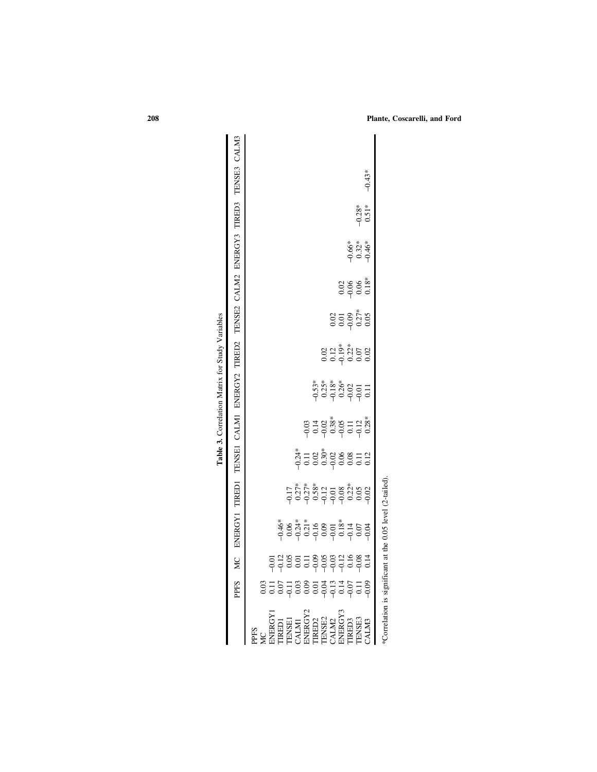|                                                                                                                                                                                                                                                                                                                                                                                                                                                                       | PPFS |                                                                                                                                                                                                                                                                                                                            |                                                             |                                           |                                                                                                                                                                                                                                                                                                               |                                                                    |                                            |                                                |                  |                    | MC ENERGYI TIREDI TENSEI CALMI ENERGY2 TIRED2 TENSE2 CALM2 ENERGY3 TIRED3 TENSE3 CALM3 |
|-----------------------------------------------------------------------------------------------------------------------------------------------------------------------------------------------------------------------------------------------------------------------------------------------------------------------------------------------------------------------------------------------------------------------------------------------------------------------|------|----------------------------------------------------------------------------------------------------------------------------------------------------------------------------------------------------------------------------------------------------------------------------------------------------------------------------|-------------------------------------------------------------|-------------------------------------------|---------------------------------------------------------------------------------------------------------------------------------------------------------------------------------------------------------------------------------------------------------------------------------------------------------------|--------------------------------------------------------------------|--------------------------------------------|------------------------------------------------|------------------|--------------------|----------------------------------------------------------------------------------------|
| $\begin{array}{l} \text{ERERGY1} \\ \text{THEED1} \\ \text{THEB1} \\ \text{CALM} \\ \text{ERRGT2} \\ \text{ERRGT2} \\ \text{ERGYZ} \\ \text{CALM} \\ \text{THEB2} \\ \text{CALM} \\ \text{DRT} \\ \text{DRT} \\ \text{DRT} \\ \text{DRT} \\ \text{DRT} \\ \text{DRT} \\ \text{DRT} \\ \text{DRT} \\ \text{DRT} \\ \text{DRT} \\ \text{DRT} \\ \text{DRT} \\ \text{DRT} \\ \text{DRT} \\ \text{DRT} \\ \text{DRT} \\ \text{DRT} \\ \text{DRT} \\ \text{$<br><b>SHd</b> |      | $\begin{array}{l} 2185 \\ 2185 \\ 1195 \\ 1195 \\ 1195 \\ 1195 \\ 1195 \\ 1195 \\ 1195 \\ 1195 \\ 1195 \\ 1195 \\ 1195 \\ 1195 \\ 1195 \\ 1195 \\ 1195 \\ 1195 \\ 1195 \\ 1195 \\ 1195 \\ 1195 \\ 1195 \\ 1195 \\ 1195 \\ 1195 \\ 1195 \\ 1195 \\ 1195 \\ 1195 \\ 1195 \\ 1195 \\ 1195 \\ 1195 \\ 1195 \\ 11$<br>$_{0.01}$ |                                                             | <br>참 = 8흥 8 8 8 = 1<br>- 0 0 0 0 0 0 0 0 | $\begin{array}{l} 0.71 \\ 0.72 \\ 0.73 \\ 0.74 \\ 0.75 \\ 0.75 \\ 0.75 \\ 0.75 \\ 0.75 \\ 0.75 \\ 0.75 \\ 0.75 \\ 0.75 \\ 0.75 \\ 0.75 \\ 0.75 \\ 0.75 \\ 0.75 \\ 0.75 \\ 0.75 \\ 0.75 \\ 0.75 \\ 0.75 \\ 0.75 \\ 0.75 \\ 0.75 \\ 0.75 \\ 0.75 \\ 0.75 \\ 0.75 \\ 0.75 \\ 0.75 \\ 0.75 \\ 0.75 \\ 0.75 \\ 0.$ | $0.53$<br>$0.25$<br>$0.26$<br>$0.26$<br>$0.01$<br>$0.01$<br>$0.11$ | 0<br>0 1 0 1 0 1<br>0 0 0 0 0<br>0 0 0 0 0 | 0<br>0<br>0<br>0<br>0<br>0<br>0<br>0<br>0<br>0 | $0.32*$<br>0.32* |                    |                                                                                        |
|                                                                                                                                                                                                                                                                                                                                                                                                                                                                       |      | 0.14                                                                                                                                                                                                                                                                                                                       |                                                             |                                           |                                                                                                                                                                                                                                                                                                               |                                                                    |                                            |                                                |                  | $-0.28$ *<br>0.51* | $-0.43*$                                                                               |
|                                                                                                                                                                                                                                                                                                                                                                                                                                                                       |      |                                                                                                                                                                                                                                                                                                                            | Correlation is significant at the $0.05$ level $(2-tailed)$ |                                           |                                                                                                                                                                                                                                                                                                               |                                                                    |                                            |                                                |                  |                    |                                                                                        |

Table 3. Correlation Matrix for Study Variables **Table 3.** Correlation Matrix for Study Variables

# **208 Plante, Coscarelli, and Ford**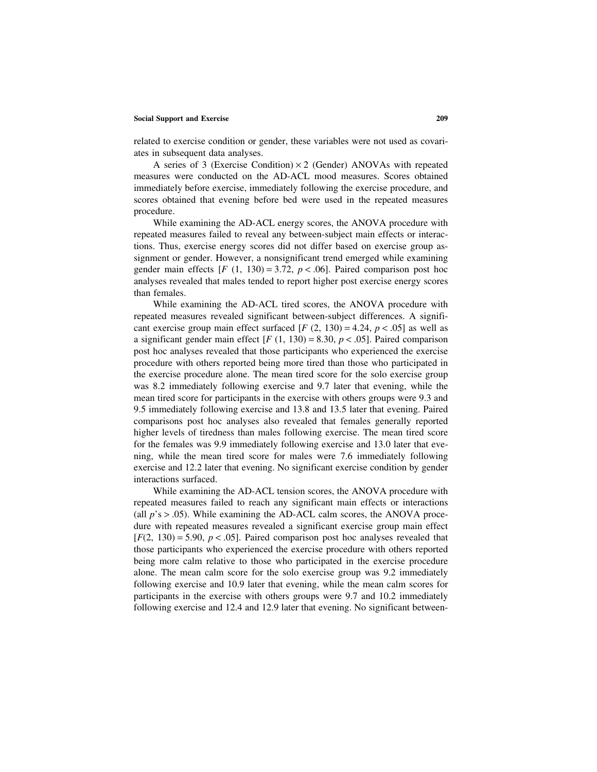related to exercise condition or gender, these variables were not used as covariates in subsequent data analyses.

A series of 3 (Exercise Condition)  $\times$  2 (Gender) ANOVAs with repeated measures were conducted on the AD-ACL mood measures. Scores obtained immediately before exercise, immediately following the exercise procedure, and scores obtained that evening before bed were used in the repeated measures procedure.

While examining the AD-ACL energy scores, the ANOVA procedure with repeated measures failed to reveal any between-subject main effects or interactions. Thus, exercise energy scores did not differ based on exercise group assignment or gender. However, a nonsignificant trend emerged while examining gender main effects  $[F(1, 130) = 3.72, p < .06]$ . Paired comparison post hoc analyses revealed that males tended to report higher post exercise energy scores than females.

While examining the AD-ACL tired scores, the ANOVA procedure with repeated measures revealed significant between-subject differences. A significant exercise group main effect surfaced  $[F (2, 130) = 4.24, p < .05]$  as well as a significant gender main effect  $[F(1, 130) = 8.30, p < .05]$ . Paired comparison post hoc analyses revealed that those participants who experienced the exercise procedure with others reported being more tired than those who participated in the exercise procedure alone. The mean tired score for the solo exercise group was 8.2 immediately following exercise and 9.7 later that evening, while the mean tired score for participants in the exercise with others groups were 9.3 and 9.5 immediately following exercise and 13.8 and 13.5 later that evening. Paired comparisons post hoc analyses also revealed that females generally reported higher levels of tiredness than males following exercise. The mean tired score for the females was 9.9 immediately following exercise and 13.0 later that evening, while the mean tired score for males were 7.6 immediately following exercise and 12.2 later that evening. No significant exercise condition by gender interactions surfaced.

While examining the AD-ACL tension scores, the ANOVA procedure with repeated measures failed to reach any significant main effects or interactions (all  $p$ 's  $> 0.05$ ). While examining the AD-ACL calm scores, the ANOVA procedure with repeated measures revealed a significant exercise group main effect  $[F(2, 130) = 5.90, p < .05]$ . Paired comparison post hoc analyses revealed that those participants who experienced the exercise procedure with others reported being more calm relative to those who participated in the exercise procedure alone. The mean calm score for the solo exercise group was 9.2 immediately following exercise and 10.9 later that evening, while the mean calm scores for participants in the exercise with others groups were 9.7 and 10.2 immediately following exercise and 12.4 and 12.9 later that evening. No significant between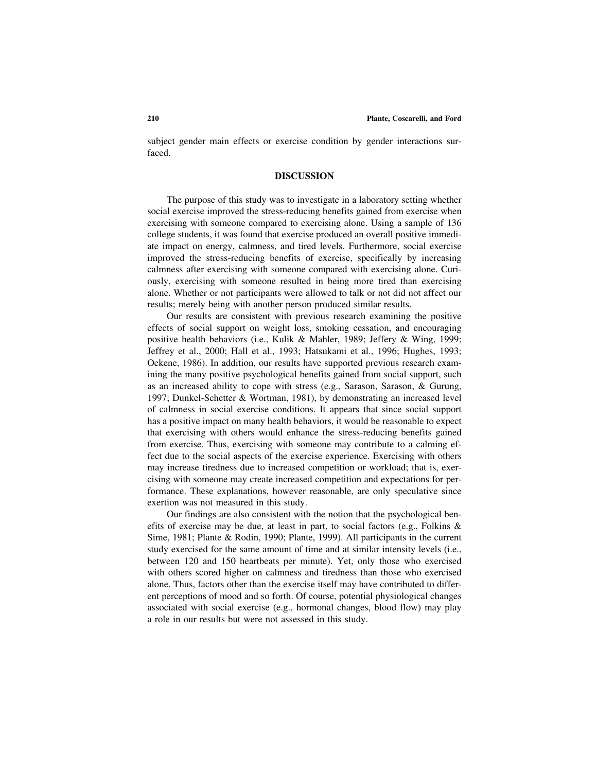subject gender main effects or exercise condition by gender interactions surfaced.

### **DISCUSSION**

The purpose of this study was to investigate in a laboratory setting whether social exercise improved the stress-reducing benefits gained from exercise when exercising with someone compared to exercising alone. Using a sample of 136 college students, it was found that exercise produced an overall positive immediate impact on energy, calmness, and tired levels. Furthermore, social exercise improved the stress-reducing benefits of exercise, specifically by increasing calmness after exercising with someone compared with exercising alone. Curiously, exercising with someone resulted in being more tired than exercising alone. Whether or not participants were allowed to talk or not did not affect our results; merely being with another person produced similar results.

Our results are consistent with previous research examining the positive effects of social support on weight loss, smoking cessation, and encouraging positive health behaviors (i.e., Kulik & Mahler, 1989; Jeffery & Wing, 1999; Jeffrey et al., 2000; Hall et al., 1993; Hatsukami et al., 1996; Hughes, 1993; Ockene, 1986). In addition, our results have supported previous research examining the many positive psychological benefits gained from social support, such as an increased ability to cope with stress (e.g., Sarason, Sarason, & Gurung, 1997; Dunkel-Schetter & Wortman, 1981), by demonstrating an increased level of calmness in social exercise conditions. It appears that since social support has a positive impact on many health behaviors, it would be reasonable to expect that exercising with others would enhance the stress-reducing benefits gained from exercise. Thus, exercising with someone may contribute to a calming effect due to the social aspects of the exercise experience. Exercising with others may increase tiredness due to increased competition or workload; that is, exercising with someone may create increased competition and expectations for performance. These explanations, however reasonable, are only speculative since exertion was not measured in this study.

Our findings are also consistent with the notion that the psychological benefits of exercise may be due, at least in part, to social factors (e.g., Folkins & Sime, 1981; Plante & Rodin, 1990; Plante, 1999). All participants in the current study exercised for the same amount of time and at similar intensity levels (i.e., between 120 and 150 heartbeats per minute). Yet, only those who exercised with others scored higher on calmness and tiredness than those who exercised alone. Thus, factors other than the exercise itself may have contributed to different perceptions of mood and so forth. Of course, potential physiological changes associated with social exercise (e.g., hormonal changes, blood flow) may play a role in our results but were not assessed in this study.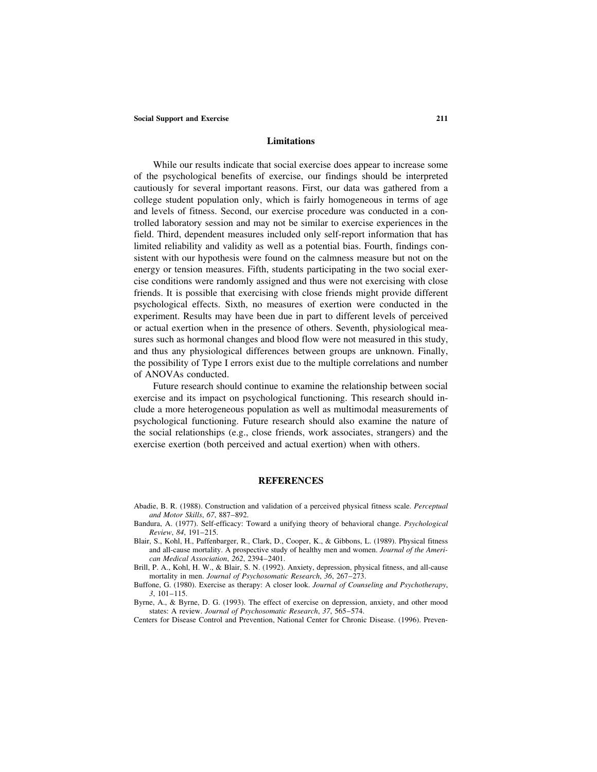### **Limitations**

While our results indicate that social exercise does appear to increase some of the psychological benefits of exercise, our findings should be interpreted cautiously for several important reasons. First, our data was gathered from a college student population only, which is fairly homogeneous in terms of age and levels of fitness. Second, our exercise procedure was conducted in a controlled laboratory session and may not be similar to exercise experiences in the field. Third, dependent measures included only self-report information that has limited reliability and validity as well as a potential bias. Fourth, findings consistent with our hypothesis were found on the calmness measure but not on the energy or tension measures. Fifth, students participating in the two social exercise conditions were randomly assigned and thus were not exercising with close friends. It is possible that exercising with close friends might provide different psychological effects. Sixth, no measures of exertion were conducted in the experiment. Results may have been due in part to different levels of perceived or actual exertion when in the presence of others. Seventh, physiological measures such as hormonal changes and blood flow were not measured in this study, and thus any physiological differences between groups are unknown. Finally, the possibility of Type I errors exist due to the multiple correlations and number of ANOVAs conducted.

Future research should continue to examine the relationship between social exercise and its impact on psychological functioning. This research should include a more heterogeneous population as well as multimodal measurements of psychological functioning. Future research should also examine the nature of the social relationships (e.g., close friends, work associates, strangers) and the exercise exertion (both perceived and actual exertion) when with others.

### **REFERENCES**

Abadie, B. R. (1988). Construction and validation of a perceived physical fitness scale. *Perceptual and Motor Skills*, *67*, 887–892.

Bandura, A. (1977). Self-efficacy: Toward a unifying theory of behavioral change. *Psychological Review*, *84*, 191–215.

Blair, S., Kohl, H., Paffenbarger, R., Clark, D., Cooper, K., & Gibbons, L. (1989). Physical fitness and all-cause mortality. A prospective study of healthy men and women. *Journal of the American Medical Association*, *262*, 2394–2401.

Brill, P. A., Kohl, H. W., & Blair, S. N. (1992). Anxiety, depression, physical fitness, and all-cause mortality in men. *Journal of Psychosomatic Research*, *36*, 267–273.

Buffone, G. (1980). Exercise as therapy: A closer look. *Journal of Counseling and Psychotherapy*, *3*, 101–115.

Byrne, A., & Byrne, D. G. (1993). The effect of exercise on depression, anxiety, and other mood states: A review. *Journal of Psychosomatic Research*, *37*, 565–574.

Centers for Disease Control and Prevention, National Center for Chronic Disease. (1996). Preven-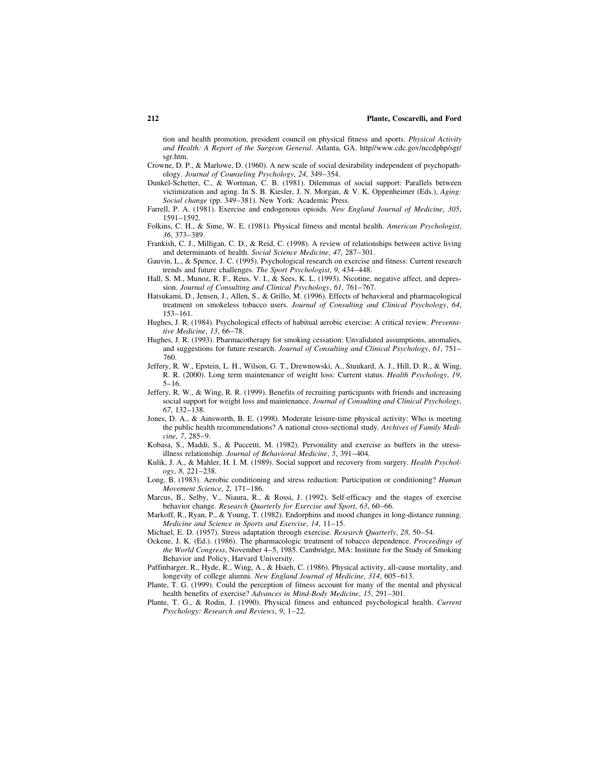#### **212 Plante, Coscarelli, and Ford**

tion and health promotion, president council on physical fitness and sports. *Physical Activity and Health: A Report of the Surgeon General*. Atlanta, GA. http//www.cdc.gov/nccdphp/sgr/ sgr.htm.

- Crowne, D. P., & Marlowe, D. (1960). A new scale of social desirability independent of psychopathology. *Journal of Counseling Psychology*, *24*, 349–354.
- Dunkel-Schetter, C., & Wortman, C. B. (1981). Dilemmas of social support: Parallels between victimization and aging. In S. B. Kiesler, J. N. Morgan, & V. K. Oppenheimer (Eds.), *Aging: Social change* (pp. 349–381). New York: Academic Press.
- Farrell, P. A. (1981). Exercise and endogenous opioids. *New England Journal of Medicine*, *305*, 1591–1592.
- Folkins, C. H., & Sime, W. E. (1981). Physical fitness and mental health. *American Psychologist*, *36*, 373–389.
- Frankish, C. J., Milligan, C. D., & Reid, C. (1998). A review of relationships between active living and determinants of health. *Social Science Medicine*, *47*, 287–301.
- Gauvin, L., & Spence, J. C. (1995). Psychological research on exercise and fitness: Current research trends and future challenges. *The Sport Psychologist*, *9*, 434–448.
- Hall, S. M., Munoz, R. F., Reus, V. I., & Sees, K. L. (1993). Nicotine, negative affect, and depression. *Journal of Consulting and Clinical Psychology*, *61*, 761–767.
- Hatsukami, D., Jensen, J., Allen, S., & Grillo, M. (1996). Effects of behavioral and pharmacological treatment on smokeless tobacco users. *Journal of Consulting and Clinical Psychology*, *64*, 153–161.
- Hughes, J. R. (1984). Psychological effects of habitual aerobic exercise: A critical review. *Preventative Medicine*, *13*, 66–78.
- Hughes, J. R. (1993). Pharmacotherapy for smoking cessation: Unvalidated assumptions, anomalies, and suggestions for future research. *Journal of Consulting and Clinical Psychology*, *61*, 751– 760.
- Jeffery, R. W., Epstein, L. H., Wilson, G. T., Drewnowski, A., Stunkard, A. J., Hill, D. R., & Wing, R. R. (2000). Long term maintenance of weight loss: Current status. *Health Psychology*, *19*, 5–16.
- Jeffery, R. W., & Wing, R. R. (1999). Benefits of recruiting participants with friends and increasing social support for weight loss and maintenance. *Journal of Consulting and Clinical Psychology*, *67*, 132–138.
- Jones, D. A., & Ainsworth, B. E. (1998). Moderate leisure-time physical activity: Who is meeting the public health recommendations? A national cross-sectional study. *Archives of Family Medicine*, *7*, 285–9.
- Kobasa, S., Maddi, S., & Puccetti, M. (1982). Personality and exercise as buffers in the stressillness relationship. *Journal of Behavioral Medicine*, *5*, 391–404.
- Kulik, J. A., & Mahler, H. I. M. (1989). Social support and recovery from surgery. *Health Psychology*, *8*, 221–238.
- Long, B. (1983). Aerobic conditioning and stress reduction: Participation or conditioning? *Human Movement Science*, *2*, 171–186.
- Marcus, B., Selby, V., Niaura, R., & Rossi, J. (1992). Self-efficacy and the stages of exercise behavior change. *Research Quarterly for Exercise and Sport*, *63*, 60–66.
- Markoff, R., Ryan, P., & Young, T. (1982). Endorphins and mood changes in long-distance running. *Medicine and Science in Sports and Exercise*, *14*, 11–15.
- Michael, E. D. (1957). Stress adaptation through exercise. *Research Quarterly*, *28*, 50–54.
- Ockene, J. K. (Ed.). (1986). The pharmacologic treatment of tobacco dependence. *Proceedings of the World Congress*, November 4–5, 1985. Cambridge, MA: Institute for the Study of Smoking Behavior and Policy, Harvard University.
- Paffinbarger, R., Hyde, R., Wing, A., & Hsieh, C. (1986). Physical activity, all-cause mortality, and longevity of college alumni. *New England Journal of Medicine*, *314*, 605–613.
- Plante, T. G. (1999). Could the perception of fitness account for many of the mental and physical health benefits of exercise? *Advances in Mind*-*Body Medicine*, *15*, 291–301.
- Plante, T. G., & Rodin, J. (1990). Physical fitness and enhanced psychological health. *Current Psychology: Research and Reviews*, *9*, 1–22.